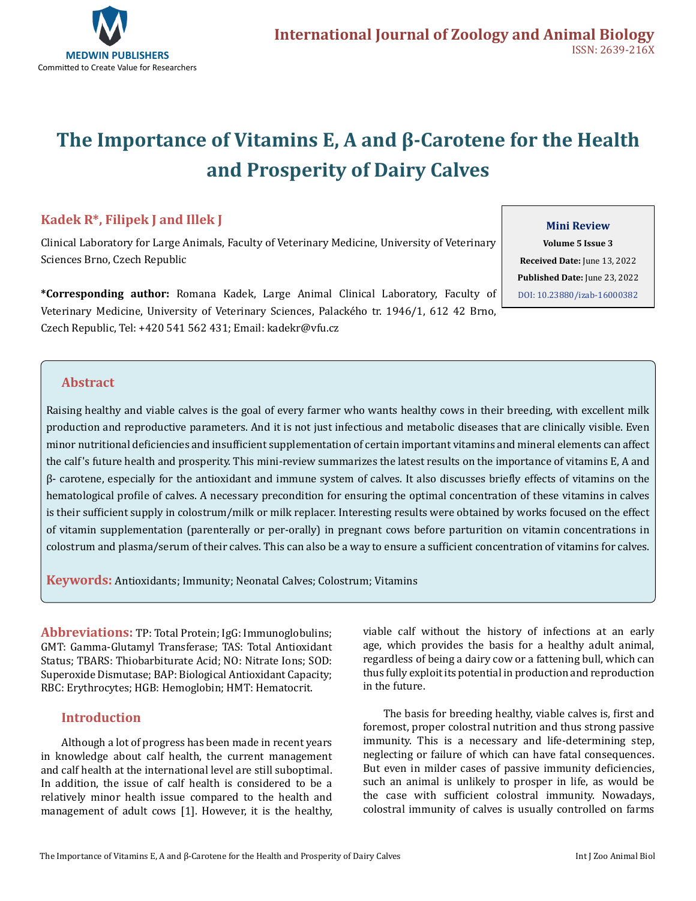

# **The Importance of Vitamins E, A and β-Carotene for the Health and Prosperity of Dairy Calves**

# **Kadek R\*, Filipek J and Illek J**

Clinical Laboratory for Large Animals, Faculty of Veterinary Medicine, University of Veterinary Sciences Brno, Czech Republic

**\*Corresponding author:** Romana Kadek, Large Animal Clinical Laboratory, Faculty of Veterinary Medicine, University of Veterinary Sciences, Palackého tr. 1946/1, 612 42 Brno, Czech Republic, Tel: +420 541 562 431; Email: kadekr@vfu.cz

#### **Mini Review**

**Volume 5 Issue 3 Received Date:** June 13, 2022 **Published Date:** June 23, 2022 [DOI: 10.23880/izab-16000382](https://doi.org/10.23880/izab-16000382)

## **Abstract**

Raising healthy and viable calves is the goal of every farmer who wants healthy cows in their breeding, with excellent milk production and reproductive parameters. And it is not just infectious and metabolic diseases that are clinically visible. Even minor nutritional deficiencies and insufficient supplementation of certain important vitamins and mineral elements can affect the calf's future health and prosperity. This mini-review summarizes the latest results on the importance of vitamins E, A and β- carotene, especially for the antioxidant and immune system of calves. It also discusses briefly effects of vitamins on the hematological profile of calves. A necessary precondition for ensuring the optimal concentration of these vitamins in calves is their sufficient supply in colostrum/milk or milk replacer. Interesting results were obtained by works focused on the effect of vitamin supplementation (parenterally or per-orally) in pregnant cows before parturition on vitamin concentrations in colostrum and plasma/serum of their calves. This can also be a way to ensure a sufficient concentration of vitamins for calves.

**Keywords:** Antioxidants; Immunity; Neonatal Calves; Colostrum; Vitamins

**Abbreviations:** TP: Total Protein; IgG: Immunoglobulins; GMT: Gamma-Glutamyl Transferase; TAS: Total Antioxidant Status; TBARS: Thiobarbiturate Acid; NO: Nitrate Ions; SOD: Superoxide Dismutase; BAP: Biological Antioxidant Capacity; RBC: Erythrocytes; HGB: Hemoglobin; HMT: Hematocrit.

#### **Introduction**

Although a lot of progress has been made in recent years in knowledge about calf health, the current management and calf health at the international level are still suboptimal. In addition, the issue of calf health is considered to be a relatively minor health issue compared to the health and management of adult cows [1]. However, it is the healthy, viable calf without the history of infections at an early age, which provides the basis for a healthy adult animal, regardless of being a dairy cow or a fattening bull, which can thus fully exploit its potential in production and reproduction in the future.

The basis for breeding healthy, viable calves is, first and foremost, proper colostral nutrition and thus strong passive immunity. This is a necessary and life-determining step, neglecting or failure of which can have fatal consequences. But even in milder cases of passive immunity deficiencies, such an animal is unlikely to prosper in life, as would be the case with sufficient colostral immunity. Nowadays, colostral immunity of calves is usually controlled on farms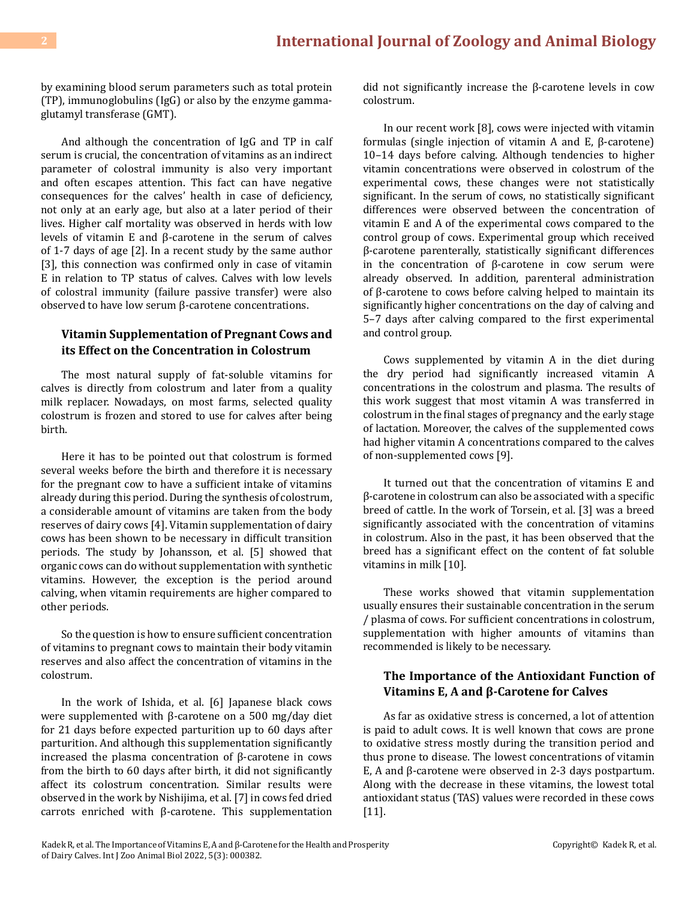by examining blood serum parameters such as total protein (TP), immunoglobulins (IgG) or also by the enzyme gammaglutamyl transferase (GMT).

And although the concentration of IgG and TP in calf serum is crucial, the concentration of vitamins as an indirect parameter of colostral immunity is also very important and often escapes attention. This fact can have negative consequences for the calves' health in case of deficiency, not only at an early age, but also at a later period of their lives. Higher calf mortality was observed in herds with low levels of vitamin E and β-carotene in the serum of calves of 1-7 days of age [2]. In a recent study by the same author [3], this connection was confirmed only in case of vitamin E in relation to TP status of calves. Calves with low levels of colostral immunity (failure passive transfer) were also observed to have low serum β-carotene concentrations.

### **Vitamin Supplementation of Pregnant Cows and its Effect on the Concentration in Colostrum**

The most natural supply of fat-soluble vitamins for calves is directly from colostrum and later from a quality milk replacer. Nowadays, on most farms, selected quality colostrum is frozen and stored to use for calves after being birth.

Here it has to be pointed out that colostrum is formed several weeks before the birth and therefore it is necessary for the pregnant cow to have a sufficient intake of vitamins already during this period. During the synthesis of colostrum, a considerable amount of vitamins are taken from the body reserves of dairy cows [4]. Vitamin supplementation of dairy cows has been shown to be necessary in difficult transition periods. The study by Johansson, et al. [5] showed that organic cows can do without supplementation with synthetic vitamins. However, the exception is the period around calving, when vitamin requirements are higher compared to other periods.

So the question is how to ensure sufficient concentration of vitamins to pregnant cows to maintain their body vitamin reserves and also affect the concentration of vitamins in the colostrum.

In the work of Ishida, et al. [6] Japanese black cows were supplemented with β-carotene on a 500 mg/day diet for 21 days before expected parturition up to 60 days after parturition. And although this supplementation significantly increased the plasma concentration of β-carotene in cows from the birth to 60 days after birth, it did not significantly affect its colostrum concentration. Similar results were observed in the work by Nishijima, et al. [7] in cows fed dried carrots enriched with β-carotene. This supplementation did not significantly increase the β-carotene levels in cow colostrum.

In our recent work [8], cows were injected with vitamin formulas (single injection of vitamin A and E, β-carotene) 10–14 days before calving. Although tendencies to higher vitamin concentrations were observed in colostrum of the experimental cows, these changes were not statistically significant. In the serum of cows, no statistically significant differences were observed between the concentration of vitamin E and A of the experimental cows compared to the control group of cows. Experimental group which received β-carotene parenterally, statistically significant differences in the concentration of β-carotene in cow serum were already observed. In addition, parenteral administration of β-carotene to cows before calving helped to maintain its significantly higher concentrations on the day of calving and 5–7 days after calving compared to the first experimental and control group.

Cows supplemented by vitamin A in the diet during the dry period had significantly increased vitamin A concentrations in the colostrum and plasma. The results of this work suggest that most vitamin A was transferred in colostrum in the final stages of pregnancy and the early stage of lactation. Moreover, the calves of the supplemented cows had higher vitamin A concentrations compared to the calves of non-supplemented cows [9].

It turned out that the concentration of vitamins E and β-carotene in colostrum can also be associated with a specific breed of cattle. In the work of Torsein, et al. [3] was a breed significantly associated with the concentration of vitamins in colostrum. Also in the past, it has been observed that the breed has a significant effect on the content of fat soluble vitamins in milk [10].

These works showed that vitamin supplementation usually ensures their sustainable concentration in the serum / plasma of cows. For sufficient concentrations in colostrum, supplementation with higher amounts of vitamins than recommended is likely to be necessary.

## **The Importance of the Antioxidant Function of Vitamins E, A and β-Carotene for Calves**

As far as oxidative stress is concerned, a lot of attention is paid to adult cows. It is well known that cows are prone to oxidative stress mostly during the transition period and thus prone to disease. The lowest concentrations of vitamin E, A and β-carotene were observed in 2-3 days postpartum. Along with the decrease in these vitamins, the lowest total antioxidant status (TAS) values were recorded in these cows [11].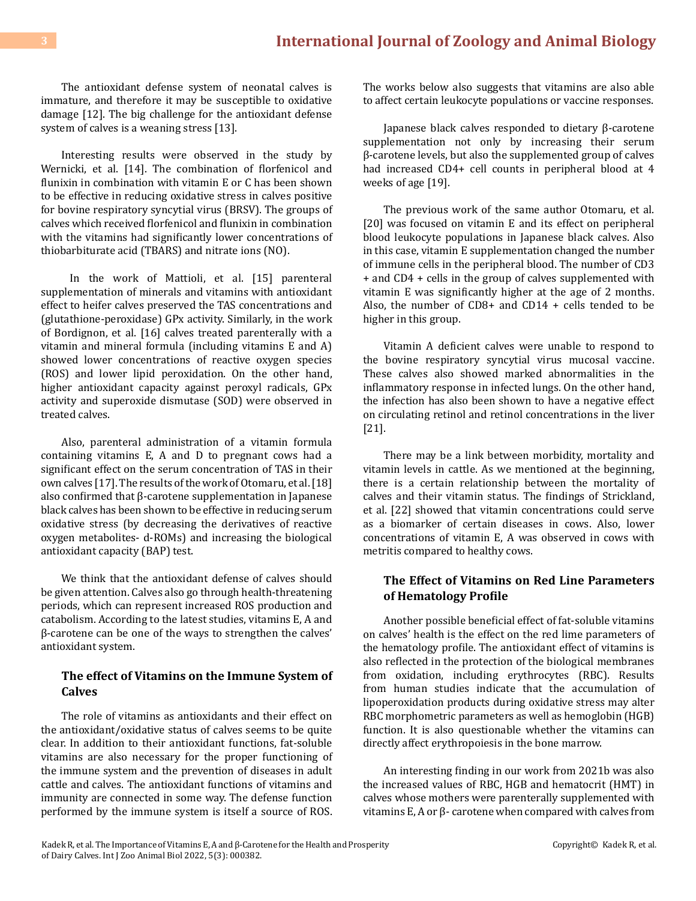The antioxidant defense system of neonatal calves is immature, and therefore it may be susceptible to oxidative damage [12]. The big challenge for the antioxidant defense system of calves is a weaning stress [13].

Interesting results were observed in the study by Wernicki, et al. [14]. The combination of florfenicol and flunixin in combination with vitamin E or C has been shown to be effective in reducing oxidative stress in calves positive for bovine respiratory syncytial virus (BRSV). The groups of calves which received florfenicol and flunixin in combination with the vitamins had significantly lower concentrations of thiobarbiturate acid (TBARS) and nitrate ions (NO).

 In the work of Mattioli, et al. [15] parenteral supplementation of minerals and vitamins with antioxidant effect to heifer calves preserved the TAS concentrations and (glutathione-peroxidase) GPx activity. Similarly, in the work of Bordignon, et al. [16] calves treated parenterally with a vitamin and mineral formula (including vitamins E and A) showed lower concentrations of reactive oxygen species (ROS) and lower lipid peroxidation. On the other hand, higher antioxidant capacity against peroxyl radicals, GPx activity and superoxide dismutase (SOD) were observed in treated calves.

Also, parenteral administration of a vitamin formula containing vitamins E, A and D to pregnant cows had a significant effect on the serum concentration of TAS in their own calves [17]. The results of the work of Otomaru, et al. [18] also confirmed that β-carotene supplementation in Japanese black calves has been shown to be effective in reducing serum oxidative stress (by decreasing the derivatives of reactive oxygen metabolites- d-ROMs) and increasing the biological antioxidant capacity (BAP) test.

We think that the antioxidant defense of calves should be given attention. Calves also go through health-threatening periods, which can represent increased ROS production and catabolism. According to the latest studies, vitamins E, A and β-carotene can be one of the ways to strengthen the calves' antioxidant system.

#### **The effect of Vitamins on the Immune System of Calves**

The role of vitamins as antioxidants and their effect on the antioxidant/oxidative status of calves seems to be quite clear. In addition to their antioxidant functions, fat-soluble vitamins are also necessary for the proper functioning of the immune system and the prevention of diseases in adult cattle and calves. The antioxidant functions of vitamins and immunity are connected in some way. The defense function performed by the immune system is itself a source of ROS. The works below also suggests that vitamins are also able to affect certain leukocyte populations or vaccine responses.

Japanese black calves responded to dietary β-carotene supplementation not only by increasing their serum β-carotene levels, but also the supplemented group of calves had increased CD4+ cell counts in peripheral blood at 4 weeks of age [19].

The previous work of the same author Otomaru, et al. [20] was focused on vitamin E and its effect on peripheral blood leukocyte populations in Japanese black calves. Also in this case, vitamin E supplementation changed the number of immune cells in the peripheral blood. The number of CD3 + and CD4 + cells in the group of calves supplemented with vitamin E was significantly higher at the age of 2 months. Also, the number of CD8+ and CD14 + cells tended to be higher in this group.

Vitamin A deficient calves were unable to respond to the bovine respiratory syncytial virus mucosal vaccine. These calves also showed marked abnormalities in the inflammatory response in infected lungs. On the other hand, the infection has also been shown to have a negative effect on circulating retinol and retinol concentrations in the liver [21].

There may be a link between morbidity, mortality and vitamin levels in cattle. As we mentioned at the beginning, there is a certain relationship between the mortality of calves and their vitamin status. The findings of Strickland, et al. [22] showed that vitamin concentrations could serve as a biomarker of certain diseases in cows. Also, lower concentrations of vitamin E, A was observed in cows with metritis compared to healthy cows.

## **The Effect of Vitamins on Red Line Parameters of Hematology Profile**

Another possible beneficial effect of fat-soluble vitamins on calves' health is the effect on the red lime parameters of the hematology profile. The antioxidant effect of vitamins is also reflected in the protection of the biological membranes from oxidation, including erythrocytes (RBC). Results from human studies indicate that the accumulation of lipoperoxidation products during oxidative stress may alter RBC morphometric parameters as well as hemoglobin (HGB) function. It is also questionable whether the vitamins can directly affect erythropoiesis in the bone marrow.

An interesting finding in our work from 2021b was also the increased values of RBC, HGB and hematocrit (HMT) in calves whose mothers were parenterally supplemented with vitamins E, A or β- carotene when compared with calves from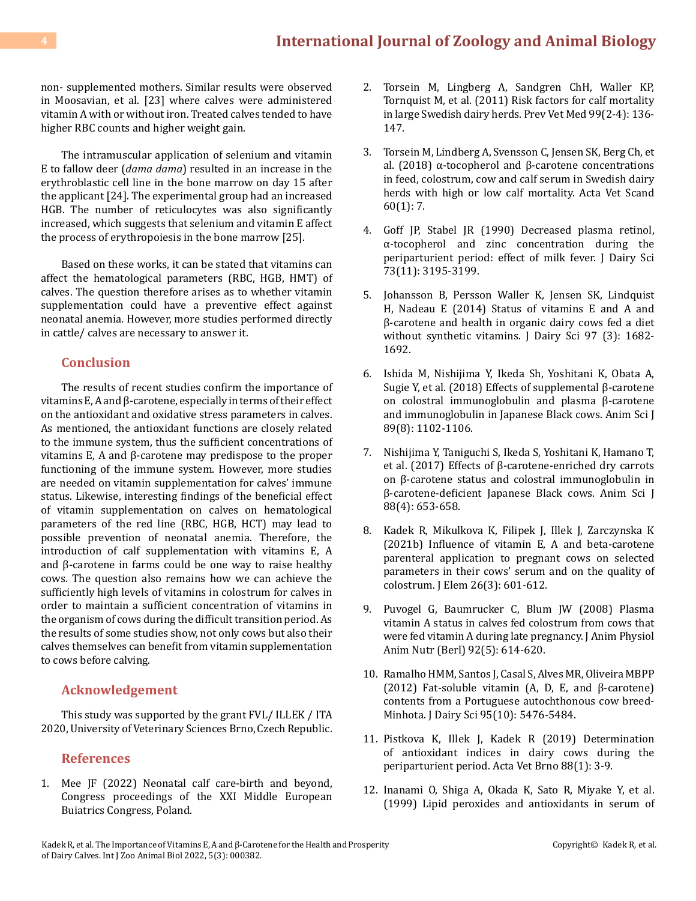# **4 [International Journal of Zoology and Animal Biology](https://medwinpublishers.com/IZAB/)**

non- supplemented mothers. Similar results were observed in Moosavian, et al. [23] where calves were administered vitamin A with or without iron. Treated calves tended to have higher RBC counts and higher weight gain.

The intramuscular application of selenium and vitamin E to fallow deer (*dama dama*) resulted in an increase in the erythroblastic cell line in the bone marrow on day 15 after the applicant [24]. The experimental group had an increased HGB. The number of reticulocytes was also significantly increased, which suggests that selenium and vitamin E affect the process of erythropoiesis in the bone marrow [25].

Based on these works, it can be stated that vitamins can affect the hematological parameters (RBC, HGB, HMT) of calves. The question therefore arises as to whether vitamin supplementation could have a preventive effect against neonatal anemia. However, more studies performed directly in cattle/ calves are necessary to answer it.

#### **Conclusion**

The results of recent studies confirm the importance of vitamins E, A and β-carotene, especially in terms of their effect on the antioxidant and oxidative stress parameters in calves. As mentioned, the antioxidant functions are closely related to the immune system, thus the sufficient concentrations of vitamins E, A and β-carotene may predispose to the proper functioning of the immune system. However, more studies are needed on vitamin supplementation for calves' immune status. Likewise, interesting findings of the beneficial effect of vitamin supplementation on calves on hematological parameters of the red line (RBC, HGB, HCT) may lead to possible prevention of neonatal anemia. Therefore, the introduction of calf supplementation with vitamins E, A and β-carotene in farms could be one way to raise healthy cows. The question also remains how we can achieve the sufficiently high levels of vitamins in colostrum for calves in order to maintain a sufficient concentration of vitamins in the organism of cows during the difficult transition period. As the results of some studies show, not only cows but also their calves themselves can benefit from vitamin supplementation to cows before calving.

#### **Acknowledgement**

This study was supported by the grant FVL/ ILLEK / ITA 2020, University of Veterinary Sciences Brno, Czech Republic.

#### **References**

1. Mee JF (2022) Neonatal calf care-birth and beyond, Congress proceedings of the XXI Middle European Buiatrics Congress, Poland.

- 2. [Torsein M, Lingberg A, Sandgren ChH, Waller KP,](https://pubmed.ncbi.nlm.nih.gov/21257214/)  [Tornquist M, et al. \(2011\) Risk factors for calf mortality](https://pubmed.ncbi.nlm.nih.gov/21257214/)  [in large Swedish dairy herds. Prev Vet Med 99\(2-4\): 136-](https://pubmed.ncbi.nlm.nih.gov/21257214/) [147.](https://pubmed.ncbi.nlm.nih.gov/21257214/)
- 3. [Torsein M, Lindberg A, Svensson C, Jensen SK, Berg Ch, et](https://pubmed.ncbi.nlm.nih.gov/29391014/)  [al. \(2018\) α-tocopherol and β-carotene concentrations](https://pubmed.ncbi.nlm.nih.gov/29391014/) [in feed, colostrum, cow and calf serum in Swedish dairy](https://pubmed.ncbi.nlm.nih.gov/29391014/) [herds with high or low calf mortality. Acta Vet Scand](https://pubmed.ncbi.nlm.nih.gov/29391014/)  [60\(1\): 7.](https://pubmed.ncbi.nlm.nih.gov/29391014/)
- 4. [Goff JP, Stabel JR \(1990\) Decreased plasma retinol,](https://pubmed.ncbi.nlm.nih.gov/2273148/)  [α-tocopherol and zinc concentration during the](https://pubmed.ncbi.nlm.nih.gov/2273148/) [periparturient period: effect of milk fever. J Dairy Sci](https://pubmed.ncbi.nlm.nih.gov/2273148/) [73\(11\): 3195-3199.](https://pubmed.ncbi.nlm.nih.gov/2273148/)
- 5. [Johansson B, Persson Waller K, Jensen SK, Lindquist](https://www.sciencedirect.com/science/article/pii/S0022030214000411) [H, Nadeau E \(2014\) Status of vitamins E and A and](https://www.sciencedirect.com/science/article/pii/S0022030214000411)  [β-carotene and health in organic dairy cows fed a diet](https://www.sciencedirect.com/science/article/pii/S0022030214000411)  [without synthetic vitamins. J Dairy Sci 97 \(3\): 1682-](https://www.sciencedirect.com/science/article/pii/S0022030214000411) [1692.](https://www.sciencedirect.com/science/article/pii/S0022030214000411)
- 6. [Ishida M, Nishijima Y, Ikeda Sh, Yoshitani K, Obata A,](https://pubmed.ncbi.nlm.nih.gov/29808628/)  [Sugie Y, et al. \(2018\) Effects of supplemental β-carotene](https://pubmed.ncbi.nlm.nih.gov/29808628/) [on colostral immunoglobulin and plasma β-carotene](https://pubmed.ncbi.nlm.nih.gov/29808628/) [and immunoglobulin in Japanese Black cows. Anim Sci J](https://pubmed.ncbi.nlm.nih.gov/29808628/) [89\(8\): 1102-1106.](https://pubmed.ncbi.nlm.nih.gov/29808628/)
- 7. [Nishijima Y, Taniguchi S, Ikeda S, Yoshitani K, Hamano T,](https://pubmed.ncbi.nlm.nih.gov/27592519/)  [et al. \(2017\) Effects of β-carotene-enriched dry carrots](https://pubmed.ncbi.nlm.nih.gov/27592519/)  [on β-carotene status and colostral immunoglobulin in](https://pubmed.ncbi.nlm.nih.gov/27592519/)  [β-carotene-deficient Japanese Black cows. Anim Sci J](https://pubmed.ncbi.nlm.nih.gov/27592519/) [88\(4\): 653-658.](https://pubmed.ncbi.nlm.nih.gov/27592519/)
- 8. [Kadek R, Mikulkova K, Filipek J, Illek J, Zarczynska K](https://web.s.ebscohost.com/abstract?direct=true&profile=ehost&scope=site&authtype=crawler&jrnl=16442296&AN=152546087&h=wfCxZLHGJ29kVhxjuSPYb6IEQyyQ5WsQV75ZM0PcAn68UjUTjhrPMNfrwdPdEkfeYfzu7NuPI0cIRONkRCVrjg%3d%3d&crl=f&resultNs=AdminWebAuth&resultLocal=ErrCrlNotAuth&crlhashurl=login.aspx%3fdirect%3dtrue%26profile%3dehost%26scope%3dsite%26authtype%3dcrawler%26jrnl%3d16442296%26AN%3d152546087)  [\(2021b\) Influence of vitamin E, A and beta-carotene](https://web.s.ebscohost.com/abstract?direct=true&profile=ehost&scope=site&authtype=crawler&jrnl=16442296&AN=152546087&h=wfCxZLHGJ29kVhxjuSPYb6IEQyyQ5WsQV75ZM0PcAn68UjUTjhrPMNfrwdPdEkfeYfzu7NuPI0cIRONkRCVrjg%3d%3d&crl=f&resultNs=AdminWebAuth&resultLocal=ErrCrlNotAuth&crlhashurl=login.aspx%3fdirect%3dtrue%26profile%3dehost%26scope%3dsite%26authtype%3dcrawler%26jrnl%3d16442296%26AN%3d152546087) [parenteral application to pregnant cows on selected](https://web.s.ebscohost.com/abstract?direct=true&profile=ehost&scope=site&authtype=crawler&jrnl=16442296&AN=152546087&h=wfCxZLHGJ29kVhxjuSPYb6IEQyyQ5WsQV75ZM0PcAn68UjUTjhrPMNfrwdPdEkfeYfzu7NuPI0cIRONkRCVrjg%3d%3d&crl=f&resultNs=AdminWebAuth&resultLocal=ErrCrlNotAuth&crlhashurl=login.aspx%3fdirect%3dtrue%26profile%3dehost%26scope%3dsite%26authtype%3dcrawler%26jrnl%3d16442296%26AN%3d152546087) [parameters in their cows' serum and on the quality of](https://web.s.ebscohost.com/abstract?direct=true&profile=ehost&scope=site&authtype=crawler&jrnl=16442296&AN=152546087&h=wfCxZLHGJ29kVhxjuSPYb6IEQyyQ5WsQV75ZM0PcAn68UjUTjhrPMNfrwdPdEkfeYfzu7NuPI0cIRONkRCVrjg%3d%3d&crl=f&resultNs=AdminWebAuth&resultLocal=ErrCrlNotAuth&crlhashurl=login.aspx%3fdirect%3dtrue%26profile%3dehost%26scope%3dsite%26authtype%3dcrawler%26jrnl%3d16442296%26AN%3d152546087)  [colostrum. J Elem 26\(3\): 601-612.](https://web.s.ebscohost.com/abstract?direct=true&profile=ehost&scope=site&authtype=crawler&jrnl=16442296&AN=152546087&h=wfCxZLHGJ29kVhxjuSPYb6IEQyyQ5WsQV75ZM0PcAn68UjUTjhrPMNfrwdPdEkfeYfzu7NuPI0cIRONkRCVrjg%3d%3d&crl=f&resultNs=AdminWebAuth&resultLocal=ErrCrlNotAuth&crlhashurl=login.aspx%3fdirect%3dtrue%26profile%3dehost%26scope%3dsite%26authtype%3dcrawler%26jrnl%3d16442296%26AN%3d152546087)
- 9. [Puvogel G, Baumrucker C, Blum JW \(2008\) Plasma](https://pubmed.ncbi.nlm.nih.gov/19012606/)  [vitamin A status in calves fed colostrum from cows that](https://pubmed.ncbi.nlm.nih.gov/19012606/) [were fed vitamin A during late pregnancy. J Anim Physiol](https://pubmed.ncbi.nlm.nih.gov/19012606/) [Anim Nutr \(Berl\) 92\(5\): 614-620.](https://pubmed.ncbi.nlm.nih.gov/19012606/)
- 10. [Ramalho HMM, Santos J, Casal S, Alves MR, Oliveira MBPP](https://www.sciencedirect.com/science/article/pii/S0022030212005826)  [\(2012\) Fat-soluble vitamin \(A, D, E, and β-carotene\)](https://www.sciencedirect.com/science/article/pii/S0022030212005826) [contents from a Portuguese autochthonous cow breed-](https://www.sciencedirect.com/science/article/pii/S0022030212005826)[Minhota. J Dairy Sci 95\(10\): 5476-5484.](https://www.sciencedirect.com/science/article/pii/S0022030212005826)
- 11. [Pistkova K, Illek J, Kadek R \(2019\) Determination](https://actavet.vfu.cz/88/1/0003/)  [of antioxidant indices in dairy cows during the](https://actavet.vfu.cz/88/1/0003/)  [periparturient period. Acta Vet Brno 88\(1\): 3-9.](https://actavet.vfu.cz/88/1/0003/)
- 12. [Inanami O, Shiga A, Okada K, Sato R, Miyake Y, et al.](https://pubmed.ncbi.nlm.nih.gov/10211688/)  [\(1999\) Lipid peroxides and antioxidants in serum of](https://pubmed.ncbi.nlm.nih.gov/10211688/)